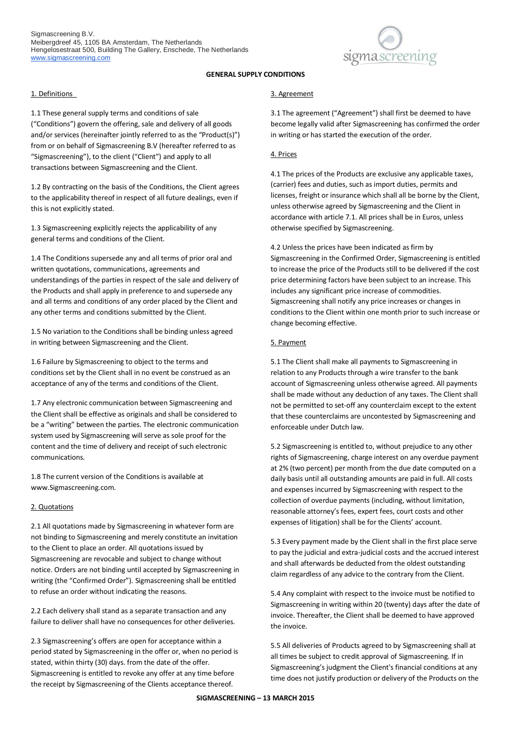

### 1. Definitions

1.1 These general supply terms and conditions of sale ("Conditions") govern the offering, sale and delivery of all goods and/or services (hereinafter jointly referred to as the "Product(s)") from or on behalf of Sigmascreening B.V (hereafter referred to as "Sigmascreening"), to the client ("Client") and apply to all transactions between Sigmascreening and the Client.

1.2 By contracting on the basis of the Conditions, the Client agrees to the applicability thereof in respect of all future dealings, even if this is not explicitly stated.

1.3 Sigmascreening explicitly rejects the applicability of any general terms and conditions of the Client.

1.4 The Conditions supersede any and all terms of prior oral and written quotations, communications, agreements and understandings of the parties in respect of the sale and delivery of the Products and shall apply in preference to and supersede any and all terms and conditions of any order placed by the Client and any other terms and conditions submitted by the Client.

1.5 No variation to the Conditions shall be binding unless agreed in writing between Sigmascreening and the Client.

1.6 Failure by Sigmascreening to object to the terms and conditions set by the Client shall in no event be construed as an acceptance of any of the terms and conditions of the Client.

1.7 Any electronic communication between Sigmascreening and the Client shall be effective as originals and shall be considered to be a "writing" between the parties. The electronic communication system used by Sigmascreening will serve as sole proof for the content and the time of delivery and receipt of such electronic communications.

1.8 The current version of the Conditions is available at www.Sigmascreening.com.

### 2. Quotations

2.1 All quotations made by Sigmascreening in whatever form are not binding to Sigmascreening and merely constitute an invitation to the Client to place an order. All quotations issued by Sigmascreening are revocable and subject to change without notice. Orders are not binding until accepted by Sigmascreening in writing (the "Confirmed Order"). Sigmascreening shall be entitled to refuse an order without indicating the reasons.

2.2 Each delivery shall stand as a separate transaction and any failure to deliver shall have no consequences for other deliveries.

2.3 Sigmascreening's offers are open for acceptance within a period stated by Sigmascreening in the offer or, when no period is stated, within thirty (30) days. from the date of the offer. Sigmascreening is entitled to revoke any offer at any time before the receipt by Sigmascreening of the Clients acceptance thereof.

### 3. Agreement

3.1 The agreement ("Agreement") shall first be deemed to have become legally valid after Sigmascreening has confirmed the order in writing or has started the execution of the order.

### 4. Prices

4.1 The prices of the Products are exclusive any applicable taxes, (carrier) fees and duties, such as import duties, permits and licenses, freight or insurance which shall all be borne by the Client, unless otherwise agreed by Sigmascreening and the Client in accordance with article 7.1. All prices shall be in Euros, unless otherwise specified by Sigmascreening.

4.2 Unless the prices have been indicated as firm by Sigmascreening in the Confirmed Order, Sigmascreening is entitled to increase the price of the Products still to be delivered if the cost price determining factors have been subject to an increase. This includes any significant price increase of commodities. Sigmascreening shall notify any price increases or changes in conditions to the Client within one month prior to such increase or change becoming effective.

### 5. Payment

5.1 The Client shall make all payments to Sigmascreening in relation to any Products through a wire transfer to the bank account of Sigmascreening unless otherwise agreed. All payments shall be made without any deduction of any taxes. The Client shall not be permitted to set-off any counterclaim except to the extent that these counterclaims are uncontested by Sigmascreening and enforceable under Dutch law.

5.2 Sigmascreening is entitled to, without prejudice to any other rights of Sigmascreening, charge interest on any overdue payment at 2% (two percent) per month from the due date computed on a daily basis until all outstanding amounts are paid in full. All costs and expenses incurred by Sigmascreening with respect to the collection of overdue payments (including, without limitation, reasonable attorney's fees, expert fees, court costs and other expenses of litigation) shall be for the Clients' account.

5.3 Every payment made by the Client shall in the first place serve to pay the judicial and extra-judicial costs and the accrued interest and shall afterwards be deducted from the oldest outstanding claim regardless of any advice to the contrary from the Client.

5.4 Any complaint with respect to the invoice must be notified to Sigmascreening in writing within 20 (twenty) days after the date of invoice. Thereafter, the Client shall be deemed to have approved the invoice.

5.5 All deliveries of Products agreed to by Sigmascreening shall at all times be subject to credit approval of Sigmascreening. If in Sigmascreening's judgment the Client's financial conditions at any time does not justify production or delivery of the Products on the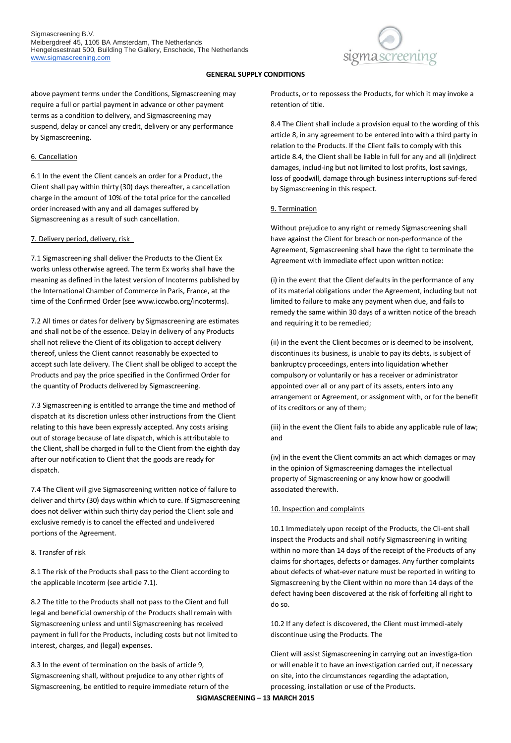

above payment terms under the Conditions, Sigmascreening may require a full or partial payment in advance or other payment terms as a condition to delivery, and Sigmascreening may suspend, delay or cancel any credit, delivery or any performance by Sigmascreening.

### 6. Cancellation

6.1 In the event the Client cancels an order for a Product, the Client shall pay within thirty (30) days thereafter, a cancellation charge in the amount of 10% of the total price for the cancelled order increased with any and all damages suffered by Sigmascreening as a result of such cancellation.

## 7. Delivery period, delivery, risk

7.1 Sigmascreening shall deliver the Products to the Client Ex works unless otherwise agreed. The term Ex works shall have the meaning as defined in the latest version of Incoterms published by the International Chamber of Commerce in Paris, France, at the time of the Confirmed Order (see www.iccwbo.org/incoterms).

7.2 All times or dates for delivery by Sigmascreening are estimates and shall not be of the essence. Delay in delivery of any Products shall not relieve the Client of its obligation to accept delivery thereof, unless the Client cannot reasonably be expected to accept such late delivery. The Client shall be obliged to accept the Products and pay the price specified in the Confirmed Order for the quantity of Products delivered by Sigmascreening.

7.3 Sigmascreening is entitled to arrange the time and method of dispatch at its discretion unless other instructions from the Client relating to this have been expressly accepted. Any costs arising out of storage because of late dispatch, which is attributable to the Client, shall be charged in full to the Client from the eighth day after our notification to Client that the goods are ready for dispatch.

7.4 The Client will give Sigmascreening written notice of failure to deliver and thirty (30) days within which to cure. If Sigmascreening does not deliver within such thirty day period the Client sole and exclusive remedy is to cancel the effected and undelivered portions of the Agreement.

## 8. Transfer of risk

8.1 The risk of the Products shall pass to the Client according to the applicable Incoterm (see article 7.1).

8.2 The title to the Products shall not pass to the Client and full legal and beneficial ownership of the Products shall remain with Sigmascreening unless and until Sigmascreening has received payment in full for the Products, including costs but not limited to interest, charges, and (legal) expenses.

8.3 In the event of termination on the basis of article 9, Sigmascreening shall, without prejudice to any other rights of Sigmascreening, be entitled to require immediate return of the Products, or to repossess the Products, for which it may invoke a retention of title.

8.4 The Client shall include a provision equal to the wording of this article 8, in any agreement to be entered into with a third party in relation to the Products. If the Client fails to comply with this article 8.4, the Client shall be liable in full for any and all (in)direct damages, includ-ing but not limited to lost profits, lost savings, loss of goodwill, damage through business interruptions suf-fered by Sigmascreening in this respect.

## 9. Termination

Without prejudice to any right or remedy Sigmascreening shall have against the Client for breach or non-performance of the Agreement, Sigmascreening shall have the right to terminate the Agreement with immediate effect upon written notice:

(i) in the event that the Client defaults in the performance of any of its material obligations under the Agreement, including but not limited to failure to make any payment when due, and fails to remedy the same within 30 days of a written notice of the breach and requiring it to be remedied;

(ii) in the event the Client becomes or is deemed to be insolvent, discontinues its business, is unable to pay its debts, is subject of bankruptcy proceedings, enters into liquidation whether compulsory or voluntarily or has a receiver or administrator appointed over all or any part of its assets, enters into any arrangement or Agreement, or assignment with, or for the benefit of its creditors or any of them;

(iii) in the event the Client fails to abide any applicable rule of law; and

(iv) in the event the Client commits an act which damages or may in the opinion of Sigmascreening damages the intellectual property of Sigmascreening or any know how or goodwill associated therewith.

# 10. Inspection and complaints

10.1 Immediately upon receipt of the Products, the Cli-ent shall inspect the Products and shall notify Sigmascreening in writing within no more than 14 days of the receipt of the Products of any claims for shortages, defects or damages. Any further complaints about defects of what-ever nature must be reported in writing to Sigmascreening by the Client within no more than 14 days of the defect having been discovered at the risk of forfeiting all right to do so.

10.2 If any defect is discovered, the Client must immedi-ately discontinue using the Products. The

Client will assist Sigmascreening in carrying out an investiga-tion or will enable it to have an investigation carried out, if necessary on site, into the circumstances regarding the adaptation, processing, installation or use of the Products.

**SIGMASCREENING – 13 MARCH 2015**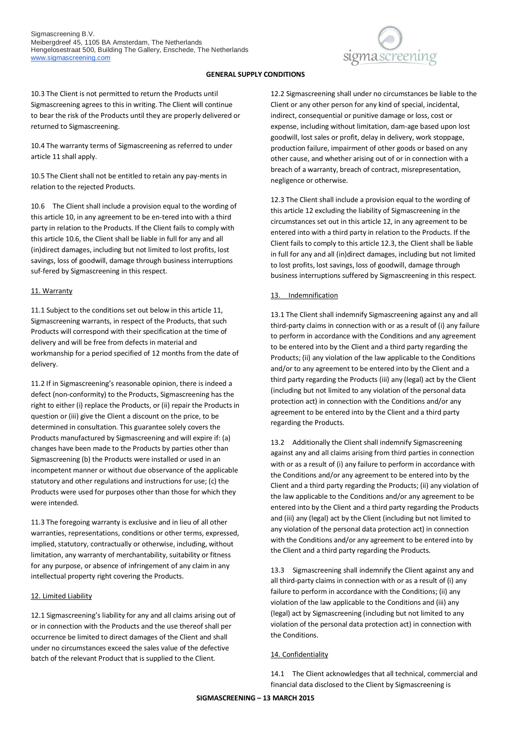

10.3 The Client is not permitted to return the Products until Sigmascreening agrees to this in writing. The Client will continue to bear the risk of the Products until they are properly delivered or returned to Sigmascreening.

10.4 The warranty terms of Sigmascreening as referred to under article 11 shall apply.

10.5 The Client shall not be entitled to retain any pay-ments in relation to the rejected Products.

10.6 The Client shall include a provision equal to the wording of this article 10, in any agreement to be en-tered into with a third party in relation to the Products. If the Client fails to comply with this article 10.6, the Client shall be liable in full for any and all (in)direct damages, including but not limited to lost profits, lost savings, loss of goodwill, damage through business interruptions suf-fered by Sigmascreening in this respect.

## 11. Warranty

11.1 Subject to the conditions set out below in this article 11, Sigmascreening warrants, in respect of the Products, that such Products will correspond with their specification at the time of delivery and will be free from defects in material and workmanship for a period specified of 12 months from the date of delivery.

11.2 If in Sigmascreening's reasonable opinion, there is indeed a defect (non-conformity) to the Products, Sigmascreening has the right to either (i) replace the Products, or (ii) repair the Products in question or (iii) give the Client a discount on the price, to be determined in consultation. This guarantee solely covers the Products manufactured by Sigmascreening and will expire if: (a) changes have been made to the Products by parties other than Sigmascreening (b) the Products were installed or used in an incompetent manner or without due observance of the applicable statutory and other regulations and instructions for use; (c) the Products were used for purposes other than those for which they were intended.

11.3 The foregoing warranty is exclusive and in lieu of all other warranties, representations, conditions or other terms, expressed, implied, statutory, contractually or otherwise, including, without limitation, any warranty of merchantability, suitability or fitness for any purpose, or absence of infringement of any claim in any intellectual property right covering the Products.

### 12. Limited Liability

12.1 Sigmascreening's liability for any and all claims arising out of or in connection with the Products and the use thereof shall per occurrence be limited to direct damages of the Client and shall under no circumstances exceed the sales value of the defective batch of the relevant Product that is supplied to the Client.

12.2 Sigmascreening shall under no circumstances be liable to the Client or any other person for any kind of special, incidental, indirect, consequential or punitive damage or loss, cost or expense, including without limitation, dam-age based upon lost goodwill, lost sales or profit, delay in delivery, work stoppage, production failure, impairment of other goods or based on any other cause, and whether arising out of or in connection with a breach of a warranty, breach of contract, misrepresentation, negligence or otherwise.

12.3 The Client shall include a provision equal to the wording of this article 12 excluding the liability of Sigmascreening in the circumstances set out in this article 12, in any agreement to be entered into with a third party in relation to the Products. If the Client fails to comply to this article 12.3, the Client shall be liable in full for any and all (in)direct damages, including but not limited to lost profits, lost savings, loss of goodwill, damage through business interruptions suffered by Sigmascreening in this respect.

# 13. Indemnification

13.1 The Client shall indemnify Sigmascreening against any and all third-party claims in connection with or as a result of (i) any failure to perform in accordance with the Conditions and any agreement to be entered into by the Client and a third party regarding the Products; (ii) any violation of the law applicable to the Conditions and/or to any agreement to be entered into by the Client and a third party regarding the Products (iii) any (legal) act by the Client (including but not limited to any violation of the personal data protection act) in connection with the Conditions and/or any agreement to be entered into by the Client and a third party regarding the Products.

13.2 Additionally the Client shall indemnify Sigmascreening against any and all claims arising from third parties in connection with or as a result of (i) any failure to perform in accordance with the Conditions and/or any agreement to be entered into by the Client and a third party regarding the Products; (ii) any violation of the law applicable to the Conditions and/or any agreement to be entered into by the Client and a third party regarding the Products and (iii) any (legal) act by the Client (including but not limited to any violation of the personal data protection act) in connection with the Conditions and/or any agreement to be entered into by the Client and a third party regarding the Products.

13.3 Sigmascreening shall indemnify the Client against any and all third-party claims in connection with or as a result of (i) any failure to perform in accordance with the Conditions; (ii) any violation of the law applicable to the Conditions and (iii) any (legal) act by Sigmascreening (including but not limited to any violation of the personal data protection act) in connection with the Conditions.

# 14. Confidentiality

14.1 The Client acknowledges that all technical, commercial and financial data disclosed to the Client by Sigmascreening is